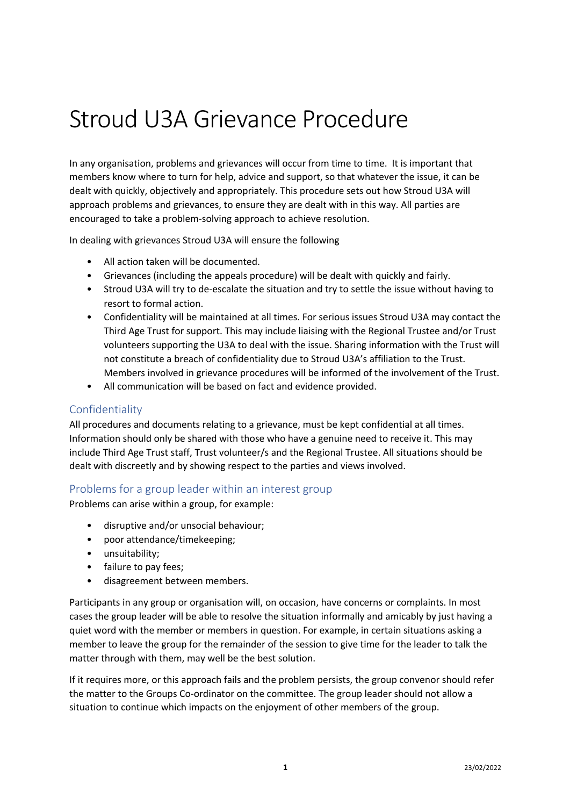# Stroud U3A Grievance Procedure

In any organisation, problems and grievances will occur from time to time. It is important that members know where to turn for help, advice and support, so that whatever the issue, it can be dealt with quickly, objectively and appropriately. This procedure sets out how Stroud U3A will approach problems and grievances, to ensure they are dealt with in this way. All parties are encouraged to take a problem-solving approach to achieve resolution.

In dealing with grievances Stroud U3A will ensure the following

- All action taken will be documented.
- Grievances (including the appeals procedure) will be dealt with quickly and fairly.
- Stroud U3A will try to de-escalate the situation and try to settle the issue without having to resort to formal action.
- Confidentiality will be maintained at all times. For serious issues Stroud U3A may contact the Third Age Trust for support. This may include liaising with the Regional Trustee and/or Trust volunteers supporting the U3A to deal with the issue. Sharing information with the Trust will not constitute a breach of confidentiality due to Stroud U3A's affiliation to the Trust. Members involved in grievance procedures will be informed of the involvement of the Trust.
- All communication will be based on fact and evidence provided.

# Confidentiality

All procedures and documents relating to a grievance, must be kept confidential at all times. Information should only be shared with those who have a genuine need to receive it. This may include Third Age Trust staff, Trust volunteer/s and the Regional Trustee. All situations should be dealt with discreetly and by showing respect to the parties and views involved.

#### Problems for a group leader within an interest group

Problems can arise within a group, for example:

- disruptive and/or unsocial behaviour;
- poor attendance/timekeeping;
- unsuitability;
- failure to pay fees;
- disagreement between members.

Participants in any group or organisation will, on occasion, have concerns or complaints. In most cases the group leader will be able to resolve the situation informally and amicably by just having a quiet word with the member or members in question. For example, in certain situations asking a member to leave the group for the remainder of the session to give time for the leader to talk the matter through with them, may well be the best solution.

If it requires more, or this approach fails and the problem persists, the group convenor should refer the matter to the Groups Co-ordinator on the committee. The group leader should not allow a situation to continue which impacts on the enjoyment of other members of the group.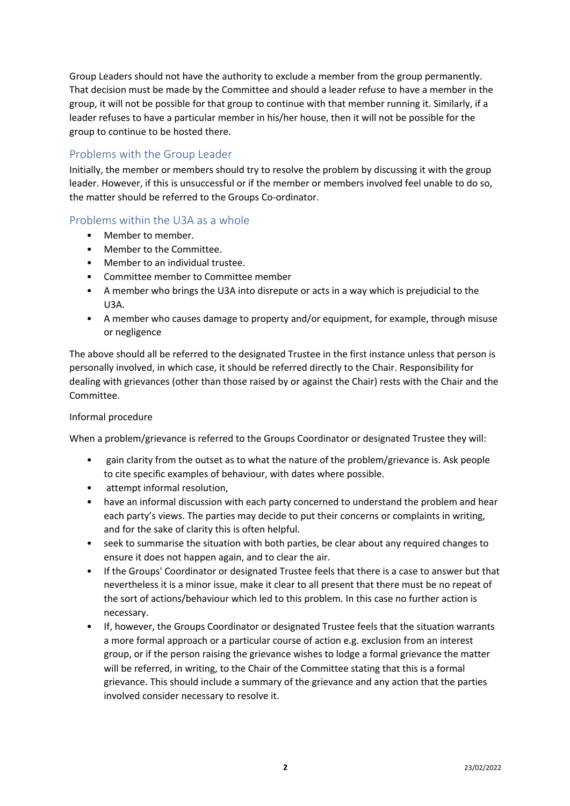Group Leaders should not have the authority to exclude a member from the group permanently. That decision must be made by the Committee and should a leader refuse to have a member in the group, it will not be possible for that group to continue with that member running it. Similarly, if a leader refuses to have a particular member in his/her house, then it will not be possible for the group to continue to be hosted there.

### Problems with the Group Leader

Initially, the member or members should try to resolve the problem by discussing it with the group leader. However, if this is unsuccessful or if the member or members involved feel unable to do so, the matter should be referred to the Groups Co-ordinator.

## Problems within the U3A as a whole

- Member to member.
- Member to the Committee.
- Member to an individual trustee.
- Committee member to Committee member
- A member who brings the U3A into disrepute or acts in a way which is prejudicial to the U3A.
- A member who causes damage to property and/or equipment, for example, through misuse or negligence

The above should all be referred to the designated Trustee in the first instance unless that person is personally involved, in which case, it should be referred directly to the Chair. Responsibility for dealing with grievances (other than those raised by or against the Chair) rests with the Chair and the Committee.

#### Informal procedure

When a problem/grievance is referred to the Groups Coordinator or designated Trustee they will:

- gain clarity from the outset as to what the nature of the problem/grievance is. Ask people to cite specific examples of behaviour, with dates where possible.
- attempt informal resolution,
- have an informal discussion with each party concerned to understand the problem and hear each party's views. The parties may decide to put their concerns or complaints in writing, and for the sake of clarity this is often helpful.
- seek to summarise the situation with both parties, be clear about any required changes to ensure it does not happen again, and to clear the air.
- If the Groups' Coordinator or designated Trustee feels that there is a case to answer but that nevertheless it is a minor issue, make it clear to all present that there must be no repeat of the sort of actions/behaviour which led to this problem. In this case no further action is necessary.
- If, however, the Groups Coordinator or designated Trustee feels that the situation warrants a more formal approach or a particular course of action e.g. exclusion from an interest group, or if the person raising the grievance wishes to lodge a formal grievance the matter will be referred, in writing, to the Chair of the Committee stating that this is a formal grievance. This should include a summary of the grievance and any action that the parties involved consider necessary to resolve it.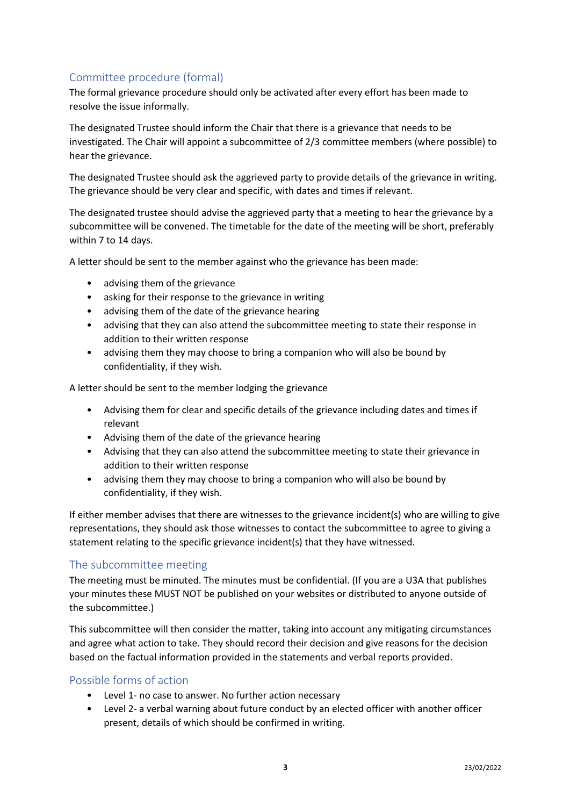# Committee procedure (formal)

The formal grievance procedure should only be activated after every effort has been made to resolve the issue informally.

The designated Trustee should inform the Chair that there is a grievance that needs to be investigated. The Chair will appoint a subcommittee of 2/3 committee members (where possible) to hear the grievance.

The designated Trustee should ask the aggrieved party to provide details of the grievance in writing. The grievance should be very clear and specific, with dates and times if relevant.

The designated trustee should advise the aggrieved party that a meeting to hear the grievance by a subcommittee will be convened. The timetable for the date of the meeting will be short, preferably within 7 to 14 days.

A letter should be sent to the member against who the grievance has been made:

- advising them of the grievance
- asking for their response to the grievance in writing
- advising them of the date of the grievance hearing
- advising that they can also attend the subcommittee meeting to state their response in addition to their written response
- advising them they may choose to bring a companion who will also be bound by confidentiality, if they wish.

A letter should be sent to the member lodging the grievance

- Advising them for clear and specific details of the grievance including dates and times if relevant
- Advising them of the date of the grievance hearing
- Advising that they can also attend the subcommittee meeting to state their grievance in addition to their written response
- advising them they may choose to bring a companion who will also be bound by confidentiality, if they wish.

If either member advises that there are witnesses to the grievance incident(s) who are willing to give representations, they should ask those witnesses to contact the subcommittee to agree to giving a statement relating to the specific grievance incident(s) that they have witnessed.

#### The subcommittee meeting

The meeting must be minuted. The minutes must be confidential. (If you are a U3A that publishes your minutes these MUST NOT be published on your websites or distributed to anyone outside of the subcommittee.)

This subcommittee will then consider the matter, taking into account any mitigating circumstances and agree what action to take. They should record their decision and give reasons for the decision based on the factual information provided in the statements and verbal reports provided.

# Possible forms of action

- Level 1- no case to answer. No further action necessary
- Level 2- a verbal warning about future conduct by an elected officer with another officer present, details of which should be confirmed in writing.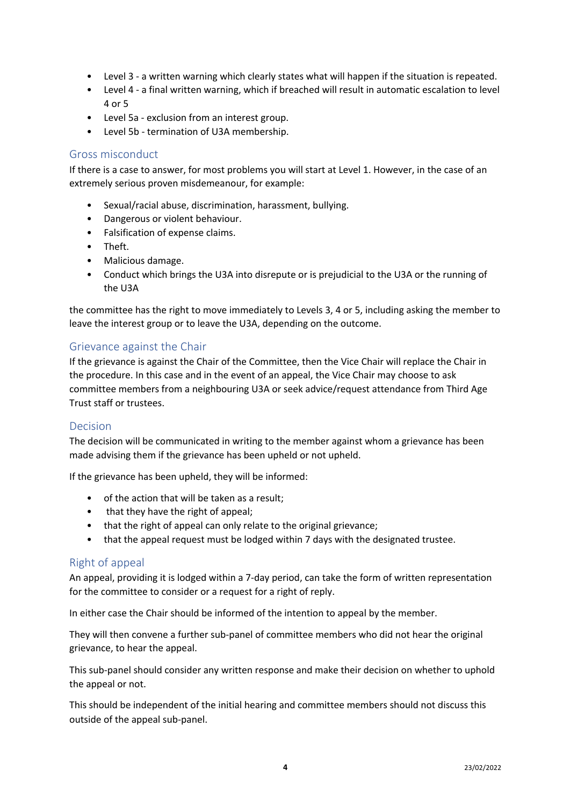- Level 3 a written warning which clearly states what will happen if the situation is repeated.
- Level 4 a final written warning, which if breached will result in automatic escalation to level 4 or 5
- Level 5a exclusion from an interest group.
- Level 5b termination of U3A membership.

#### Gross misconduct

If there is a case to answer, for most problems you will start at Level 1. However, in the case of an extremely serious proven misdemeanour, for example:

- Sexual/racial abuse, discrimination, harassment, bullying.
- Dangerous or violent behaviour.
- Falsification of expense claims.
- Theft.
- Malicious damage.
- Conduct which brings the U3A into disrepute or is prejudicial to the U3A or the running of the U3A

the committee has the right to move immediately to Levels 3, 4 or 5, including asking the member to leave the interest group or to leave the U3A, depending on the outcome.

#### Grievance against the Chair

If the grievance is against the Chair of the Committee, then the Vice Chair will replace the Chair in the procedure. In this case and in the event of an appeal, the Vice Chair may choose to ask committee members from a neighbouring U3A or seek advice/request attendance from Third Age Trust staff or trustees.

#### Decision

The decision will be communicated in writing to the member against whom a grievance has been made advising them if the grievance has been upheld or not upheld.

If the grievance has been upheld, they will be informed:

- of the action that will be taken as a result;
- that they have the right of appeal;
- that the right of appeal can only relate to the original grievance;
- that the appeal request must be lodged within 7 days with the designated trustee.

#### Right of appeal

An appeal, providing it is lodged within a 7-day period, can take the form of written representation for the committee to consider or a request for a right of reply.

In either case the Chair should be informed of the intention to appeal by the member.

They will then convene a further sub-panel of committee members who did not hear the original grievance, to hear the appeal.

This sub-panel should consider any written response and make their decision on whether to uphold the appeal or not.

This should be independent of the initial hearing and committee members should not discuss this outside of the appeal sub-panel.